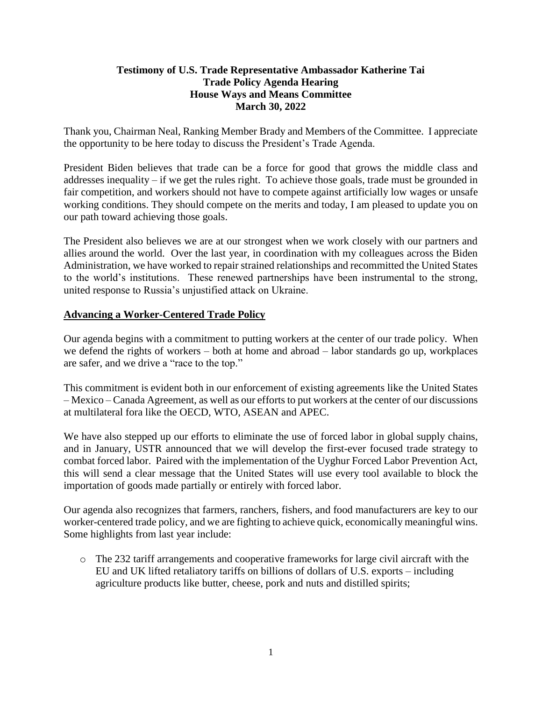#### **Testimony of U.S. Trade Representative Ambassador Katherine Tai Trade Policy Agenda Hearing House Ways and Means Committee March 30, 2022**

Thank you, Chairman Neal, Ranking Member Brady and Members of the Committee. I appreciate the opportunity to be here today to discuss the President's Trade Agenda.

President Biden believes that trade can be a force for good that grows the middle class and addresses inequality – if we get the rules right. To achieve those goals, trade must be grounded in fair competition, and workers should not have to compete against artificially low wages or unsafe working conditions. They should compete on the merits and today, I am pleased to update you on our path toward achieving those goals.

The President also believes we are at our strongest when we work closely with our partners and allies around the world. Over the last year, in coordination with my colleagues across the Biden Administration, we have worked to repair strained relationships and recommitted the United States to the world's institutions. These renewed partnerships have been instrumental to the strong, united response to Russia's unjustified attack on Ukraine.

# **Advancing a Worker-Centered Trade Policy**

Our agenda begins with a commitment to putting workers at the center of our trade policy. When we defend the rights of workers – both at home and abroad – labor standards go up, workplaces are safer, and we drive a "race to the top."

This commitment is evident both in our enforcement of existing agreements like the United States – Mexico – Canada Agreement, as well as our efforts to put workers at the center of our discussions at multilateral fora like the OECD, WTO, ASEAN and APEC.

We have also stepped up our efforts to eliminate the use of forced labor in global supply chains, and in January, USTR announced that we will develop the first-ever focused trade strategy to combat forced labor. Paired with the implementation of the Uyghur Forced Labor Prevention Act, this will send a clear message that the United States will use every tool available to block the importation of goods made partially or entirely with forced labor.

Our agenda also recognizes that farmers, ranchers, fishers, and food manufacturers are key to our worker-centered trade policy, and we are fighting to achieve quick, economically meaningful wins. Some highlights from last year include:

o The 232 tariff arrangements and cooperative frameworks for large civil aircraft with the EU and UK lifted retaliatory tariffs on billions of dollars of U.S. exports – including agriculture products like butter, cheese, pork and nuts and distilled spirits;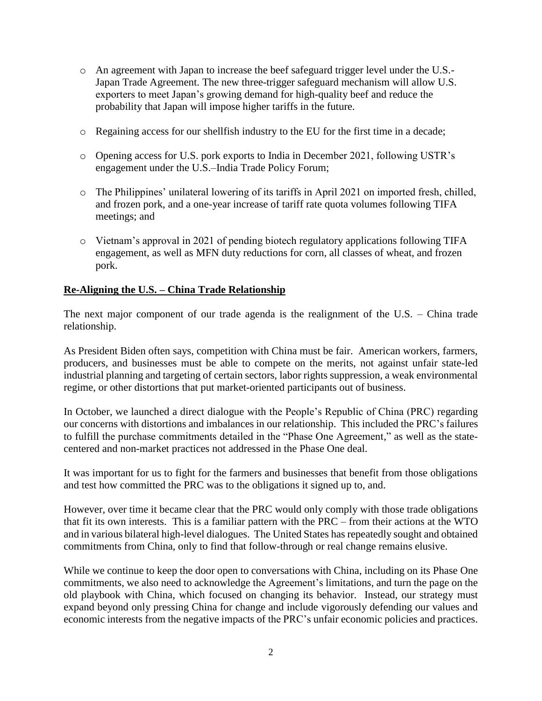- o An agreement with Japan to increase the beef safeguard trigger level under the U.S.- Japan Trade Agreement. The new three-trigger safeguard mechanism will allow U.S. exporters to meet Japan's growing demand for high-quality beef and reduce the probability that Japan will impose higher tariffs in the future.
- o Regaining access for our shellfish industry to the EU for the first time in a decade;
- o Opening access for U.S. pork exports to India in December 2021, following USTR's engagement under the U.S.–India Trade Policy Forum;
- o The Philippines' unilateral lowering of its tariffs in April 2021 on imported fresh, chilled, and frozen pork, and a one-year increase of tariff rate quota volumes following TIFA meetings; and
- o Vietnam's approval in 2021 of pending biotech regulatory applications following TIFA engagement, as well as MFN duty reductions for corn, all classes of wheat, and frozen pork.

#### **Re-Aligning the U.S. – China Trade Relationship**

The next major component of our trade agenda is the realignment of the U.S. – China trade relationship.

As President Biden often says, competition with China must be fair. American workers, farmers, producers, and businesses must be able to compete on the merits, not against unfair state-led industrial planning and targeting of certain sectors, labor rights suppression, a weak environmental regime, or other distortions that put market-oriented participants out of business.

In October, we launched a direct dialogue with the People's Republic of China (PRC) regarding our concerns with distortions and imbalances in our relationship. This included the PRC's failures to fulfill the purchase commitments detailed in the "Phase One Agreement," as well as the statecentered and non-market practices not addressed in the Phase One deal.

It was important for us to fight for the farmers and businesses that benefit from those obligations and test how committed the PRC was to the obligations it signed up to, and.

However, over time it became clear that the PRC would only comply with those trade obligations that fit its own interests. This is a familiar pattern with the PRC – from their actions at the WTO and in various bilateral high-level dialogues. The United States has repeatedly sought and obtained commitments from China, only to find that follow-through or real change remains elusive.

While we continue to keep the door open to conversations with China, including on its Phase One commitments, we also need to acknowledge the Agreement's limitations, and turn the page on the old playbook with China, which focused on changing its behavior. Instead, our strategy must expand beyond only pressing China for change and include vigorously defending our values and economic interests from the negative impacts of the PRC's unfair economic policies and practices.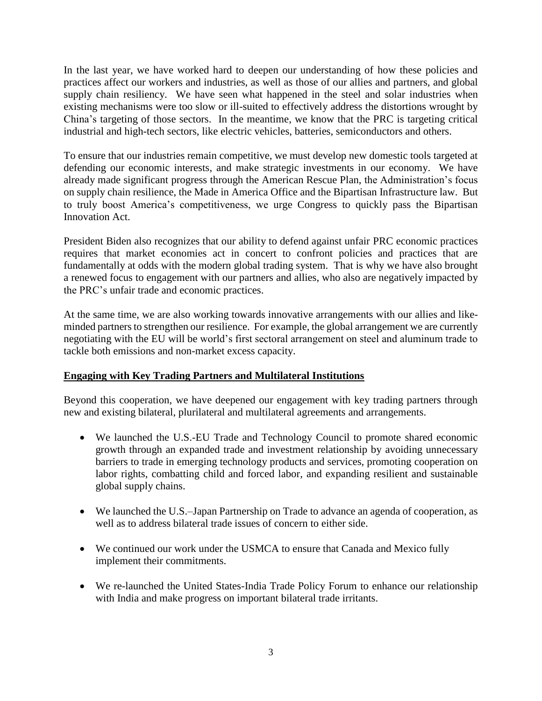In the last year, we have worked hard to deepen our understanding of how these policies and practices affect our workers and industries, as well as those of our allies and partners, and global supply chain resiliency. We have seen what happened in the steel and solar industries when existing mechanisms were too slow or ill-suited to effectively address the distortions wrought by China's targeting of those sectors. In the meantime, we know that the PRC is targeting critical industrial and high-tech sectors, like electric vehicles, batteries, semiconductors and others.

To ensure that our industries remain competitive, we must develop new domestic tools targeted at defending our economic interests, and make strategic investments in our economy. We have already made significant progress through the American Rescue Plan, the Administration's focus on supply chain resilience, the Made in America Office and the Bipartisan Infrastructure law. But to truly boost America's competitiveness, we urge Congress to quickly pass the Bipartisan Innovation Act.

President Biden also recognizes that our ability to defend against unfair PRC economic practices requires that market economies act in concert to confront policies and practices that are fundamentally at odds with the modern global trading system. That is why we have also brought a renewed focus to engagement with our partners and allies, who also are negatively impacted by the PRC's unfair trade and economic practices.

At the same time, we are also working towards innovative arrangements with our allies and likeminded partners to strengthen our resilience. For example, the global arrangement we are currently negotiating with the EU will be world's first sectoral arrangement on steel and aluminum trade to tackle both emissions and non-market excess capacity.

# **Engaging with Key Trading Partners and Multilateral Institutions**

Beyond this cooperation, we have deepened our engagement with key trading partners through new and existing bilateral, plurilateral and multilateral agreements and arrangements.

- We launched the U.S.-EU Trade and Technology Council to promote shared economic growth through an expanded trade and investment relationship by avoiding unnecessary barriers to trade in emerging technology products and services, promoting cooperation on labor rights, combatting child and forced labor, and expanding resilient and sustainable global supply chains.
- We launched the U.S.–Japan Partnership on Trade to advance an agenda of cooperation, as well as to address bilateral trade issues of concern to either side.
- We continued our work under the USMCA to ensure that Canada and Mexico fully implement their commitments.
- We re-launched the United States-India Trade Policy Forum to enhance our relationship with India and make progress on important bilateral trade irritants.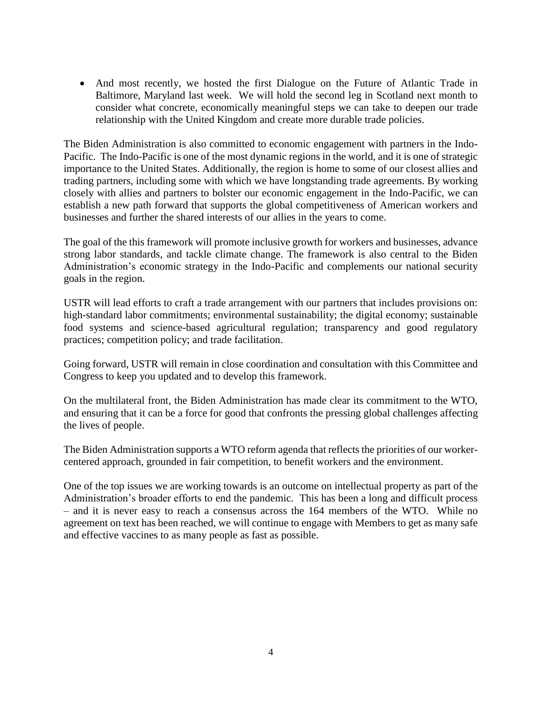• And most recently, we hosted the first Dialogue on the Future of Atlantic Trade in Baltimore, Maryland last week. We will hold the second leg in Scotland next month to consider what concrete, economically meaningful steps we can take to deepen our trade relationship with the United Kingdom and create more durable trade policies.

The Biden Administration is also committed to economic engagement with partners in the Indo-Pacific. The Indo-Pacific is one of the most dynamic regions in the world, and it is one of strategic importance to the United States. Additionally, the region is home to some of our closest allies and trading partners, including some with which we have longstanding trade agreements. By working closely with allies and partners to bolster our economic engagement in the Indo-Pacific, we can establish a new path forward that supports the global competitiveness of American workers and businesses and further the shared interests of our allies in the years to come.

The goal of the this framework will promote inclusive growth for workers and businesses, advance strong labor standards, and tackle climate change. The framework is also central to the Biden Administration's economic strategy in the Indo-Pacific and complements our national security goals in the region.

USTR will lead efforts to craft a trade arrangement with our partners that includes provisions on: high-standard labor commitments; environmental sustainability; the digital economy; sustainable food systems and science-based agricultural regulation; transparency and good regulatory practices; competition policy; and trade facilitation.

Going forward, USTR will remain in close coordination and consultation with this Committee and Congress to keep you updated and to develop this framework.

On the multilateral front, the Biden Administration has made clear its commitment to the WTO, and ensuring that it can be a force for good that confronts the pressing global challenges affecting the lives of people.

The Biden Administration supports a WTO reform agenda that reflects the priorities of our workercentered approach, grounded in fair competition, to benefit workers and the environment.

One of the top issues we are working towards is an outcome on intellectual property as part of the Administration's broader efforts to end the pandemic. This has been a long and difficult process – and it is never easy to reach a consensus across the 164 members of the WTO. While no agreement on text has been reached, we will continue to engage with Members to get as many safe and effective vaccines to as many people as fast as possible.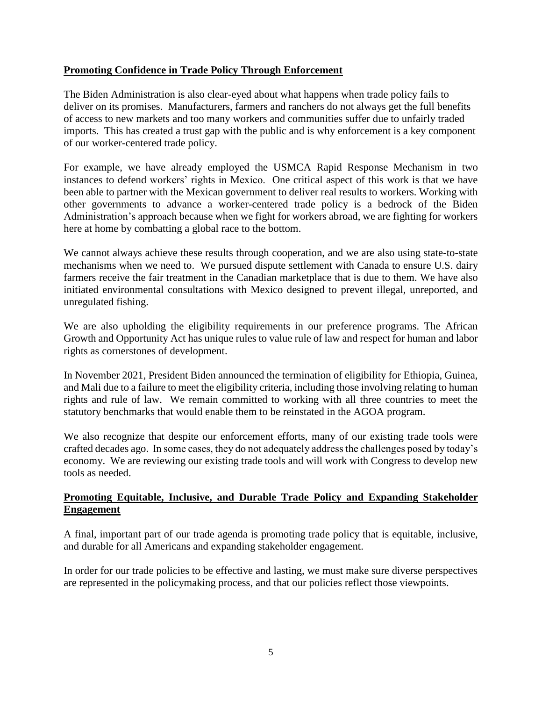#### **Promoting Confidence in Trade Policy Through Enforcement**

The Biden Administration is also clear-eyed about what happens when trade policy fails to deliver on its promises. Manufacturers, farmers and ranchers do not always get the full benefits of access to new markets and too many workers and communities suffer due to unfairly traded imports. This has created a trust gap with the public and is why enforcement is a key component of our worker-centered trade policy.

For example, we have already employed the USMCA Rapid Response Mechanism in two instances to defend workers' rights in Mexico. One critical aspect of this work is that we have been able to partner with the Mexican government to deliver real results to workers. Working with other governments to advance a worker-centered trade policy is a bedrock of the Biden Administration's approach because when we fight for workers abroad, we are fighting for workers here at home by combatting a global race to the bottom.

We cannot always achieve these results through cooperation, and we are also using state-to-state mechanisms when we need to. We pursued dispute settlement with Canada to ensure U.S. dairy farmers receive the fair treatment in the Canadian marketplace that is due to them. We have also initiated environmental consultations with Mexico designed to prevent illegal, unreported, and unregulated fishing.

We are also upholding the eligibility requirements in our preference programs. The African Growth and Opportunity Act has unique rules to value rule of law and respect for human and labor rights as cornerstones of development.

In November 2021, President Biden announced the termination of eligibility for Ethiopia, Guinea, and Mali due to a failure to meet the eligibility criteria, including those involving relating to human rights and rule of law. We remain committed to working with all three countries to meet the statutory benchmarks that would enable them to be reinstated in the AGOA program.

We also recognize that despite our enforcement efforts, many of our existing trade tools were crafted decades ago. In some cases, they do not adequately address the challenges posed by today's economy. We are reviewing our existing trade tools and will work with Congress to develop new tools as needed.

# **Promoting Equitable, Inclusive, and Durable Trade Policy and Expanding Stakeholder Engagement**

A final, important part of our trade agenda is promoting trade policy that is equitable, inclusive, and durable for all Americans and expanding stakeholder engagement.

In order for our trade policies to be effective and lasting, we must make sure diverse perspectives are represented in the policymaking process, and that our policies reflect those viewpoints.